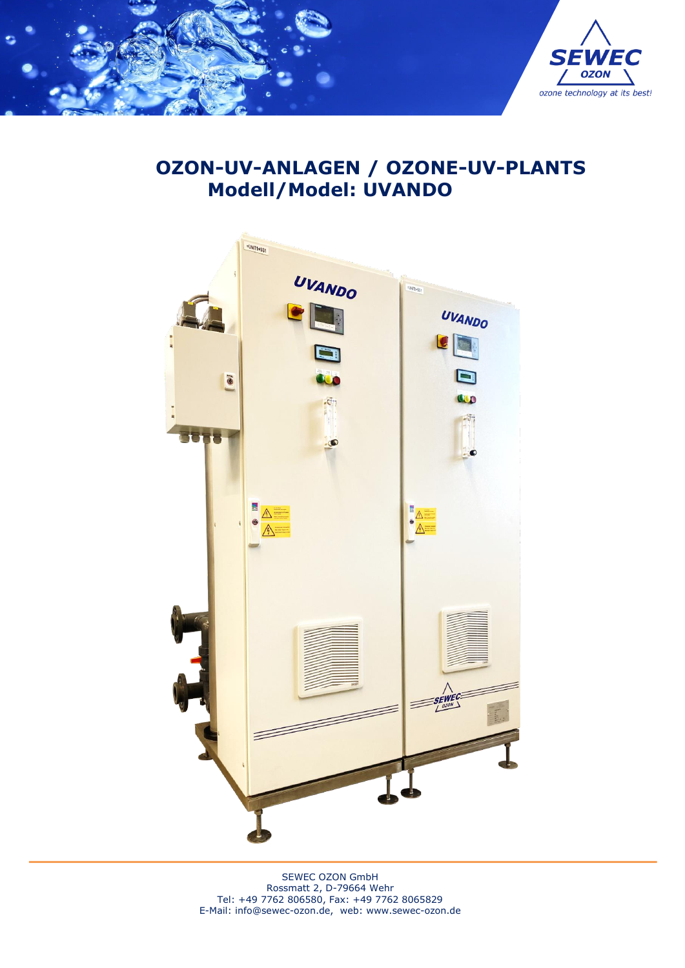

# **OZON-UV-ANLAGEN / OZONE-UV-PLANTS Modell/Model: UVANDO**



SEWEC OZON GmbH Rossmatt 2, D-79664 Wehr Tel: +49 7762 806580, Fax: +49 7762 8065829 E-Mail: [info@sewec-ozon.de,](mailto:info@sewec-ozon.de) web: www.sewec-ozon.de